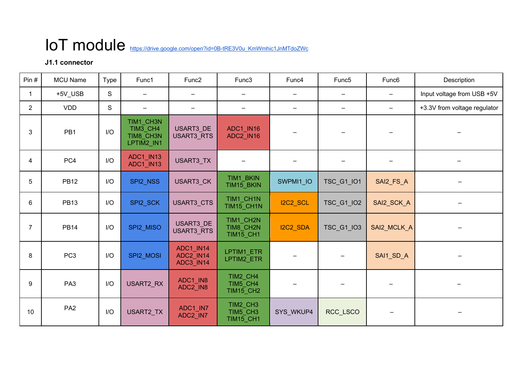# IoT module https://drive.google.com/open?id=0B-tRE3V0u\_KmWmhic1JnMTdoZWc

## **J1.1 connector**

| Pin $#$        | <b>MCU Name</b> | Type        | Func1                                            | Func <sub>2</sub>                          | Func3                                      | Func4                    | Func <sub>5</sub>      | Func <sub>6</sub>        | Description                  |
|----------------|-----------------|-------------|--------------------------------------------------|--------------------------------------------|--------------------------------------------|--------------------------|------------------------|--------------------------|------------------------------|
| $\mathbf{1}$   | +5V_USB         | $\mathsf S$ | -                                                |                                            | $\qquad \qquad$                            | $\overline{\phantom{m}}$ | $\qquad \qquad \qquad$ | $\overline{\phantom{0}}$ | Input voltage from USB +5V   |
| $\overline{2}$ | <b>VDD</b>      | S           | $\overline{\phantom{a}}$                         | $\qquad \qquad -$                          | $\overline{\phantom{m}}$                   | $\overline{\phantom{m}}$ | $\qquad \qquad =$      | $\equiv$                 | +3.3V from voltage regulator |
| 3              | PB <sub>1</sub> | I/O         | TIM1 CH3N<br>TIM3 CH4<br>TIM8 CH3N<br>LPTIM2_IN1 | USART3 DE<br>USART3_RTS                    | ADC1 IN16<br>ADC2 IN16                     | $\overline{\phantom{m}}$ |                        | $\overline{\phantom{m}}$ |                              |
| $\overline{4}$ | PC4             | I/O         | ADC1_IN13<br>ADC1_IN13                           | USART3_TX                                  |                                            |                          |                        |                          |                              |
| 5              | <b>PB12</b>     | I/O         | SPI2_NSS                                         | USART3_CK                                  | TIM1 BKIN<br>TIM15_BKIN                    | SWPMI1_IO                | TSC_G1_IO1             | SAI2_FS_A                |                              |
| 6              | <b>PB13</b>     | I/O         | SPI2 SCK                                         | USART3_CTS                                 | TIM1 CH1N<br>TIM15 CH1N                    | <b>I2C2_SCL</b>          | TSC_G1_IO2             | SAI2_SCK_A               |                              |
| $\overline{7}$ | <b>PB14</b>     | I/O         | SPI2_MISO                                        | <b>USART3 DE</b><br><b>USART3_RTS</b>      | TIM1 CH2N<br>TIM8 CH2N<br><b>TIM15_CH1</b> | I2C2 SDA                 | <b>TSC G1 IO3</b>      | SAI2_MCLK_A              |                              |
| 8              | PC <sub>3</sub> | I/O         | SPI2 MOSI                                        | ADC1 IN14<br>ADC2_IN14<br><b>ADC3_IN14</b> | LPTIM1_ETR<br>LPTIM2_ETR                   |                          |                        | SAI1_SD_A                |                              |
| 9              | PA <sub>3</sub> | I/O         | USART2_RX                                        | ADC1_IN8<br>ADC2_IN8                       | TIM2 CH4<br>TIM5 CH4<br><b>TIM15_CH2</b>   |                          |                        |                          |                              |
| 10             | PA <sub>2</sub> | I/O         | USART2_TX                                        | ADC1_IN7<br>ADC2_IN7                       | TIM2 CH3<br>TIM5 CH3<br><b>TIM15_CH1</b>   | SYS_WKUP4                | RCC_LSCO               | $\overline{\phantom{m}}$ |                              |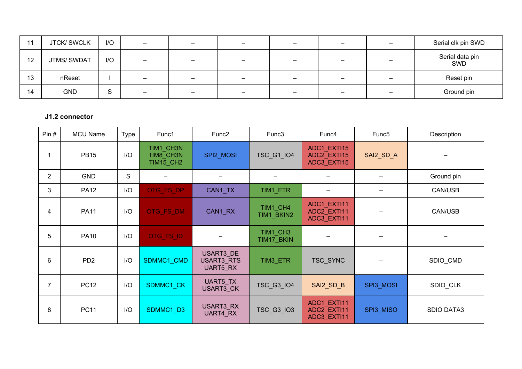| 11 | <b>JTCK/SWCLK</b>  | I/O                     | $\overline{\phantom{a}}$ | $\overline{\phantom{m}}$ | $\equiv$                     | $\overline{\phantom{a}}$ | $\qquad \qquad \blacksquare$ | $\overline{\phantom{a}}$ | Serial clk pin SWD     |
|----|--------------------|-------------------------|--------------------------|--------------------------|------------------------------|--------------------------|------------------------------|--------------------------|------------------------|
| 12 | <b>JTMS/ SWDAT</b> | I/O                     | $\qquad \qquad -$        | $\overline{\phantom{a}}$ | $\overline{\phantom{m}}$     | $\overline{\phantom{m}}$ | $\overline{\phantom{0}}$     | $\overline{\phantom{0}}$ | Serial data pin<br>SWD |
| 13 | nReset             |                         | $\equiv$                 | $\qquad \qquad -$        | $\qquad \qquad \blacksquare$ | $\overline{\phantom{a}}$ | —                            | $\overline{\phantom{a}}$ | Reset pin              |
| 14 | <b>GND</b>         | $\mathbf{\hat{c}}$<br>ত | $\overline{\phantom{m}}$ | $\qquad \qquad -$        | $\overline{\phantom{m}}$     | $\overline{\phantom{m}}$ | —                            | $\overline{\phantom{0}}$ | Ground pin             |

### **J1.2 connector**

| Pin#           | <b>MCU Name</b> | Type | Func1                                      | Func <sub>2</sub>                          | Func3                  | Func4                                     | Func <sub>5</sub> | Description       |
|----------------|-----------------|------|--------------------------------------------|--------------------------------------------|------------------------|-------------------------------------------|-------------------|-------------------|
| 1              | <b>PB15</b>     | I/O  | TIM1 CH3N<br>TIM8 CH3N<br><b>TIM15_CH2</b> | SPI2_MOSI                                  | <b>TSC_G1_IO4</b>      | ADC1 EXTI15<br>ADC2_EXTI15<br>ADC3_EXTI15 | SAI2_SD_A         |                   |
| $\overline{2}$ | <b>GND</b>      | S    |                                            |                                            |                        |                                           |                   | Ground pin        |
| 3              | <b>PA12</b>     | I/O  | OTG_FS_DP                                  | CAN1_TX                                    | TIM1_ETR               |                                           |                   | CAN/USB           |
| 4              | <b>PA11</b>     | I/O  | OTG_FS_DM                                  | CAN1_RX                                    | TIM1_CH4<br>TIM1_BKIN2 | ADC1_EXTI11<br>ADC2_EXTI11<br>ADC3_EXTI11 |                   | CAN/USB           |
| 5              | <b>PA10</b>     | I/O  | OTG_FS_ID                                  |                                            | TIM1 CH3<br>TIM17_BKIN |                                           |                   |                   |
| 6              | PD <sub>2</sub> | I/O  | SDMMC1 CMD                                 | USART3 DE<br><b>USART3 RTS</b><br>UART5_RX | TIM3 ETR               | TSC_SYNC                                  |                   | SDIO_CMD          |
| $\overline{7}$ | <b>PC12</b>     | I/O  | SDMMC1_CK                                  | UART5_TX<br><b>USART3 CK</b>               | <b>TSC_G3_IO4</b>      | SAI2_SD_B                                 | SPI3_MOSI         | SDIO_CLK          |
| 8              | <b>PC11</b>     | I/O  | SDMMC1_D3                                  | USART3_RX<br>UART4 RX                      | <b>TSC_G3_IO3</b>      | ADC1_EXTI11<br>ADC2 EXTI11<br>ADC3_EXTI11 | SPI3_MISO         | <b>SDIO DATA3</b> |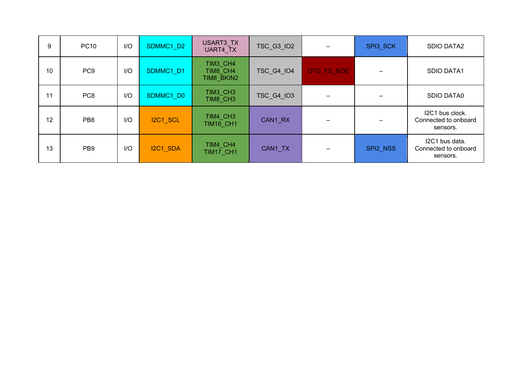| 9  | <b>PC10</b>     | I/O | SDMMC1_D2       | USART3_TX<br>UART4 TX              | TSC_G3_IO2        |            | SPI3_SCK | <b>SDIO DATA2</b>                                   |
|----|-----------------|-----|-----------------|------------------------------------|-------------------|------------|----------|-----------------------------------------------------|
| 10 | PC <sub>9</sub> | I/O | SDMMC1 D1       | TIM3 CH4<br>TIM8 CH4<br>TIM8 BKIN2 | <b>TSC G4 IO4</b> | OTG FS NOE |          | <b>SDIO DATA1</b>                                   |
| 11 | PC <sub>8</sub> | I/O | SDMMC1_D0       | TIM3 CH3<br>TIM8 CH3               | <b>TSC_G4_IO3</b> |            |          | SDIO DATA0                                          |
| 12 | PB <sub>8</sub> | I/O | <b>I2C1_SCL</b> | TIM4 CH3<br>TIM16 CH1              | CAN1_RX           |            |          | I2C1 bus clock.<br>Connected to onboard<br>sensors. |
| 13 | PB <sub>9</sub> | I/O | I2C1_SDA        | TIM4 CH4<br>TIM17 CH1              | CAN1 TX           |            | SPI2 NSS | I2C1 bus data.<br>Connected to onboard<br>sensors.  |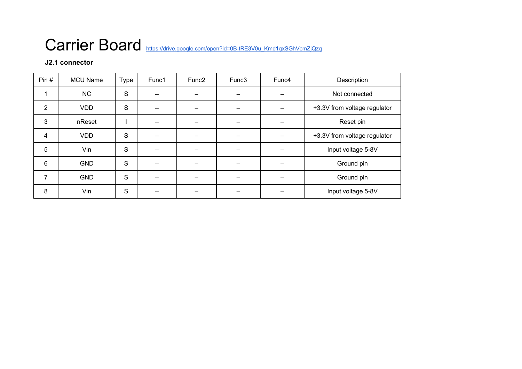## Carrier Board https://drive.google.com/open?id=0B-tRE3V0u\_Kmd1gxSGhVcmZjQzg

## **J2.1 connector**

| Pin#           | <b>MCU Name</b> | <b>Type</b> | Func1 | Func <sub>2</sub> | Func3 | Func4 | Description                  |
|----------------|-----------------|-------------|-------|-------------------|-------|-------|------------------------------|
| 1              | <b>NC</b>       | S           |       |                   |       |       | Not connected                |
| 2              | <b>VDD</b>      | S           |       |                   |       |       | +3.3V from voltage regulator |
| 3              | nReset          |             |       |                   |       |       | Reset pin                    |
| $\overline{4}$ | <b>VDD</b>      | S           |       |                   |       |       | +3.3V from voltage regulator |
| 5              | Vin             | S           |       |                   |       |       | Input voltage 5-8V           |
| 6              | <b>GND</b>      | S           |       |                   |       |       | Ground pin                   |
| 7              | <b>GND</b>      | S           |       |                   |       |       | Ground pin                   |
| 8              | Vin             | S           |       |                   |       |       | Input voltage 5-8V           |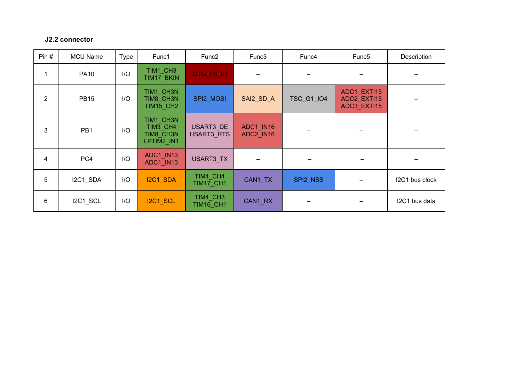#### **J2.2 connector**

| Pin# | <b>MCU Name</b> | Type | Func1                                            | Func <sub>2</sub>              | Func3                  | Func4             | Func <sub>5</sub>                         | Description    |
|------|-----------------|------|--------------------------------------------------|--------------------------------|------------------------|-------------------|-------------------------------------------|----------------|
| 1    | <b>PA10</b>     | I/O  | TIM1 CH3<br>TIM17_BKIN                           | OTG_FS_ID                      |                        |                   |                                           |                |
| 2    | <b>PB15</b>     | I/O  | TIM1 CH3N<br>TIM8_CH3N<br><b>TIM15_CH2</b>       | SPI2_MOSI                      | SAI2_SD_A              | <b>TSC_G1_IO4</b> | ADC1 EXTI15<br>ADC2_EXTI15<br>ADC3_EXTI15 |                |
| 3    | PB <sub>1</sub> | I/O  | TIM1 CH3N<br>TIM3 CH4<br>TIM8 CH3N<br>LPTIM2_IN1 | USART3 DE<br><b>USART3 RTS</b> | ADC1 IN16<br>ADC2 IN16 |                   |                                           |                |
| 4    | PC4             | I/O  | ADC1_IN13<br>ADC1 IN13                           | USART3_TX                      |                        |                   |                                           |                |
| 5    | I2C1_SDA        | I/O  | I2C1_SDA                                         | TIM4_CH4<br><b>TIM17_CH1</b>   | CAN1 TX                | SPI2 NSS          |                                           | I2C1 bus clock |
| 6    | I2C1 SCL        | I/O  | <b>I2C1_SCL</b>                                  | TIM4_CH3<br><b>TIM16_CH1</b>   | CAN1 RX                |                   |                                           | I2C1 bus data  |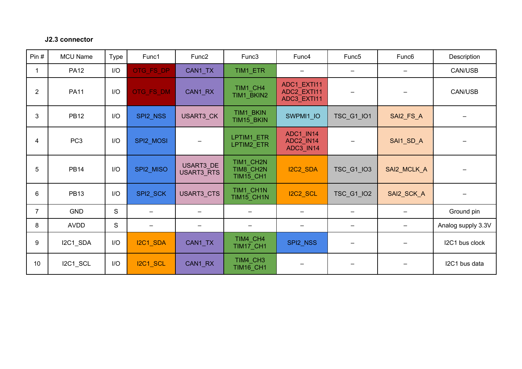#### **J2.3 connector**

| Pin#           | <b>MCU Name</b> | <b>Type</b> | Func1                    | Func <sub>2</sub>       | Func3                               | Func4                                      | Func <sub>5</sub>      | Func <sub>6</sub> | Description                  |
|----------------|-----------------|-------------|--------------------------|-------------------------|-------------------------------------|--------------------------------------------|------------------------|-------------------|------------------------------|
| $\mathbf{1}$   | <b>PA12</b>     | I/O         | OTG_FS_DP                | CAN1_TX                 | TIM1_ETR                            |                                            |                        |                   | CAN/USB                      |
| $\overline{2}$ | <b>PA11</b>     | I/O         | OTG_FS_DM                | CAN1_RX                 | TIM1_CH4<br>TIM1_BKIN2              | ADC1_EXTI11<br>ADC2 EXTI11<br>ADC3_EXTI11  |                        |                   | CAN/USB                      |
| 3              | <b>PB12</b>     | I/O         | SPI2_NSS                 | USART3_CK               | TIM1_BKIN<br>TIM15_BKIN             | SWPMI1_IO                                  | TSC_G1_IO1             | SAI2_FS_A         | $\qquad \qquad -$            |
| $\overline{4}$ | PC <sub>3</sub> | I/O         | SPI2_MOSI                |                         | LPTIM1_ETR<br>LPTIM2 ETR            | ADC1 IN14<br>ADC2_IN14<br><b>ADC3_IN14</b> |                        | SAI1_SD_A         | $\qquad \qquad \blacksquare$ |
| 5              | <b>PB14</b>     | I/O         | SPI2_MISO                | USART3 DE<br>USART3_RTS | TIM1 CH2N<br>TIM8_CH2N<br>TIM15_CH1 | I2C2_SDA                                   | TSC_G1_IO3             | SAI2_MCLK_A       | $\qquad \qquad -$            |
| $6\phantom{1}$ | <b>PB13</b>     | I/O         | SPI2_SCK                 | USART3_CTS              | TIM1_CH1N<br>TIM15_CH1N             | I2C2_SCL                                   | TSC_G1_IO2             | SAI2_SCK_A        |                              |
| $\overline{7}$ | <b>GND</b>      | $\mathbf S$ | -                        |                         | —                                   | -                                          |                        | $\qquad \qquad$   | Ground pin                   |
| 8              | <b>AVDD</b>     | S           | $\overline{\phantom{0}}$ | $\qquad \qquad \qquad$  | —                                   | $\qquad \qquad \qquad$                     | $\qquad \qquad \qquad$ | —                 | Analog supply 3.3V           |
| 9              | I2C1_SDA        | I/O         | I2C1_SDA                 | CAN1_TX                 | TIM4 CH4<br>TIM17_CH1               | SPI2_NSS                                   |                        |                   | I2C1 bus clock               |
| 10             | I2C1_SCL        | I/O         | <b>I2C1_SCL</b>          | CAN1_RX                 | TIM4 CH3<br><b>TIM16_CH1</b>        |                                            |                        |                   | I2C1 bus data                |